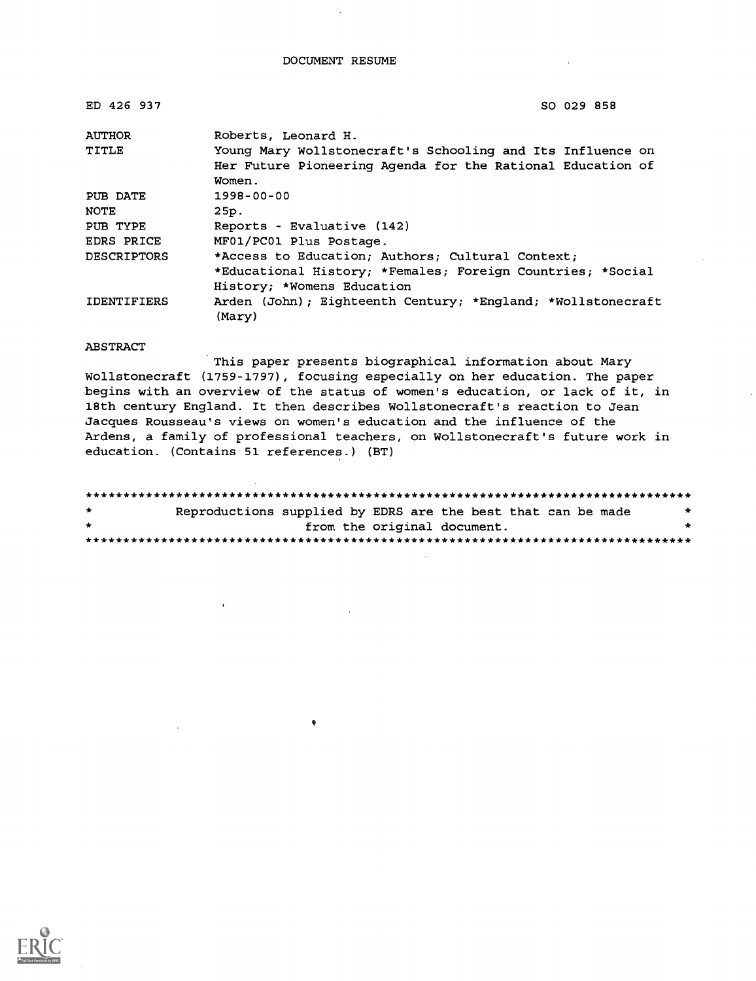| ED 426 937         | SO 029 858                                                            |
|--------------------|-----------------------------------------------------------------------|
| <b>AUTHOR</b>      | Roberts, Leonard H.                                                   |
| <b>TITLE</b>       | Young Mary Wollstonecraft's Schooling and Its Influence on            |
|                    | Her Future Pioneering Agenda for the Rational Education of            |
|                    | Women.                                                                |
| PUB DATE           | 1998-00-00                                                            |
| <b>NOTE</b>        | 25p.                                                                  |
| PUB TYPE           | Reports - Evaluative (142)                                            |
| EDRS PRICE         | MF01/PC01 Plus Postage.                                               |
| <b>DESCRIPTORS</b> | *Access to Education; Authors; Cultural Context;                      |
|                    | *Educational History; *Females; Foreign Countries; *Social            |
|                    | History; *Womens Education                                            |
| <b>IDENTIFIERS</b> | Arden (John); Eighteenth Century; *England; *Wollstonecraft<br>(Mary) |

#### ABSTRACT

This paper presents biographical information about Mary Wollstonecraft (1759-1797), focusing especially on her education. The paper begins with an overview of the status of women's education, or lack of it, in 18th century England. It then describes Wollstonecraft's reaction to Jean Jacques Rousseau's views on women's education and the influence of the Ardens, a family of professional teachers, on Wollstonecraft's future work in education. (Contains 51 references.) (BT)

 $\sim$ 

| $\star$      | Reproductions supplied by EDRS are the best that can be made |  |                             |  |  |
|--------------|--------------------------------------------------------------|--|-----------------------------|--|--|
| $\mathbf{r}$ |                                                              |  | from the original document. |  |  |
|              |                                                              |  |                             |  |  |

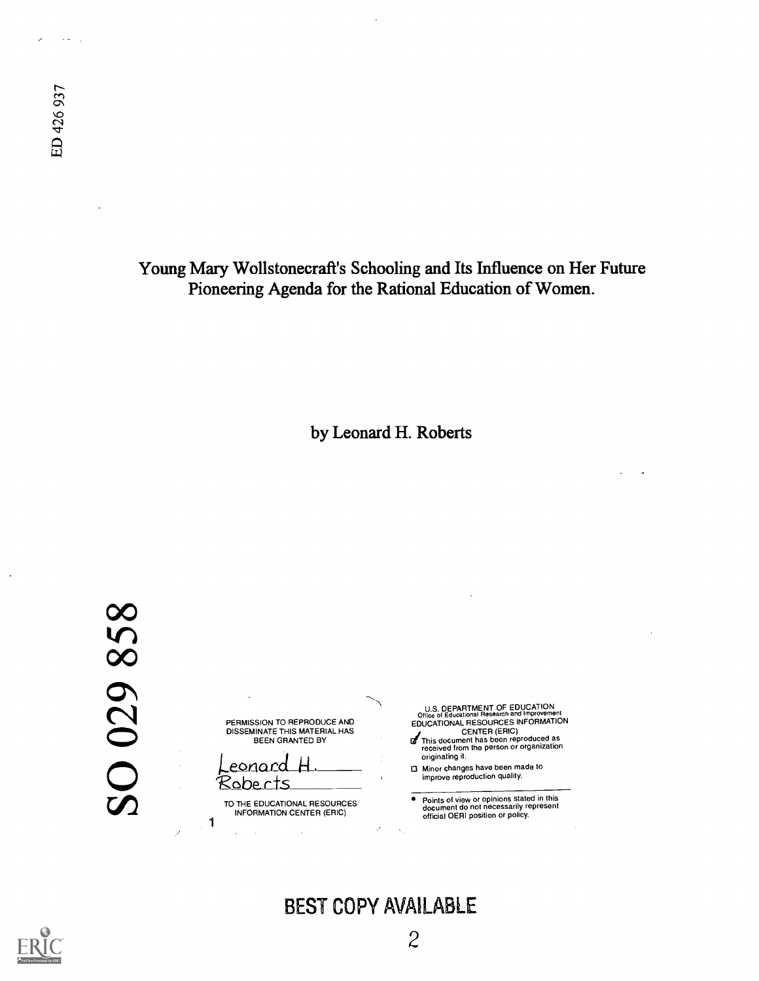Young Mary Wollstonecraft's Schooling and Its Influence on Her Future Pioneering Agenda for the Rational Education of Women.

by Leonard H. Roberts

00 tr) <sup>00</sup>  $\overline{O}$  1

PERMISSION TO REPRODUCE AND<br>DISSEMINATE THIS MATERIAL HAS<br>BEEN GRANTED BY

eonard<br><u>'oberts</u>

TO THE EDUCATIONAL RESOURCES<br>INFORMATION CENTER (ERIC)

1

U.S. DEPARTMENT OF EDUCATION Office of Educational Research and Improvement EDUCATIONAL RESOURCES INFORMATION

- CENTER (ERIC) IThis document has been reproduced as received from the person or organization originating it.
- 0 Minor changes have been made to improve reproduction qualify.
- Points of view or opinions stated in this document do not necessarily represent official OERI position or policy.



# BEST COPY AVAILABLE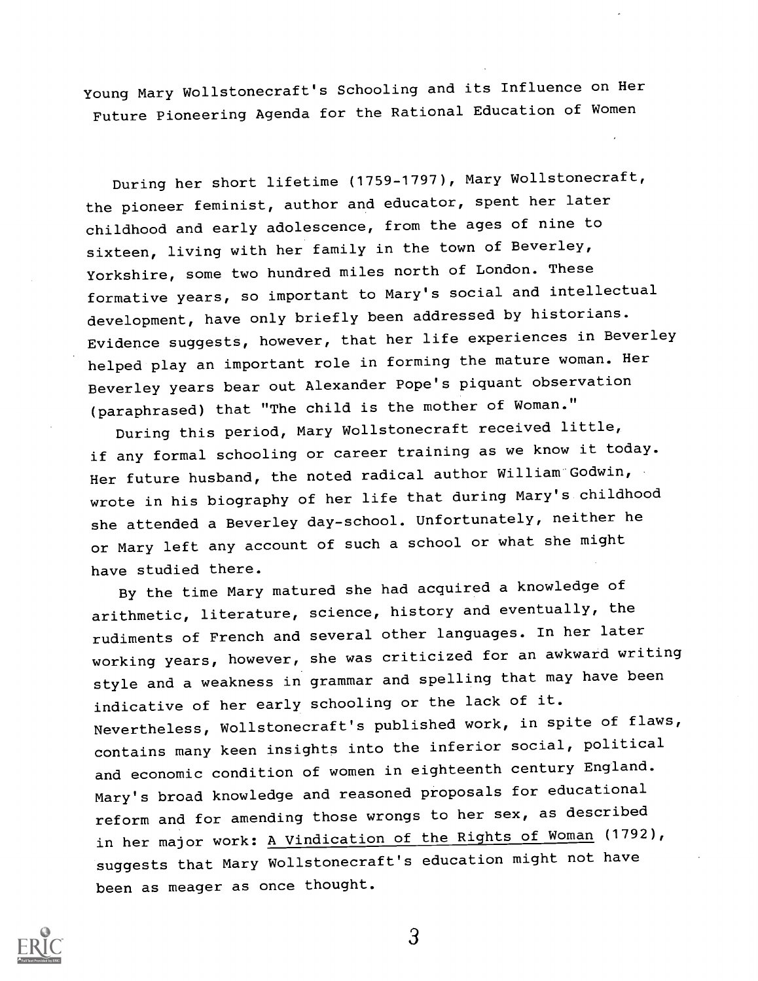Young Mary Wollstonecraft's Schooling and its Influence on Her Future Pioneering Agenda for the Rational Education of Women

During her short lifetime (1759-1797), Mary Wollstonecraft, the pioneer feminist, author and educator, spent her later childhood and early adolescence, from the ages of nine to sixteen, living with her family in the town of Beverley, Yorkshire, some two hundred miles north of London. These formative years, so important to Mary's social and intellectual development, have only briefly been addressed by historians. Evidence suggests, however, that her life experiences in Beverley helped play an important role in forming the mature woman. Her Beverley years bear out Alexander Pope's piquant observation (paraphrased) that "The child is the mother of Woman."

During this period, Mary Wollstonecraft received little, if any formal schooling or career training as we know it today. Her future husband, the noted radical author William Godwin, wrote in his biography of her life that during Mary's childhood she attended a Beverley day-school. Unfortunately, neither he or Mary left any account of such a school or what she might have studied there.

By the time Mary matured she had acquired a knowledge of arithmetic, literature, science, history and eventually, the rudiments of French and several other languages. In her later working years, however, she was criticized for an awkward writing style and a weakness in grammar and spelling that may have been indicative of her early schooling or the lack of it. Nevertheless, Wollstonecraft's published work, in spite of flaws, contains many keen insights into the inferior social, political and economic condition of women in eighteenth century England. Mary's broad knowledge and reasoned proposals for educational reform and for amending those wrongs to her sex, as described in her major work: <u>A Vindication of the Rights of Woman</u> (1792), suggests that Mary Wollstonecraft's education might not have been as meager as once thought.

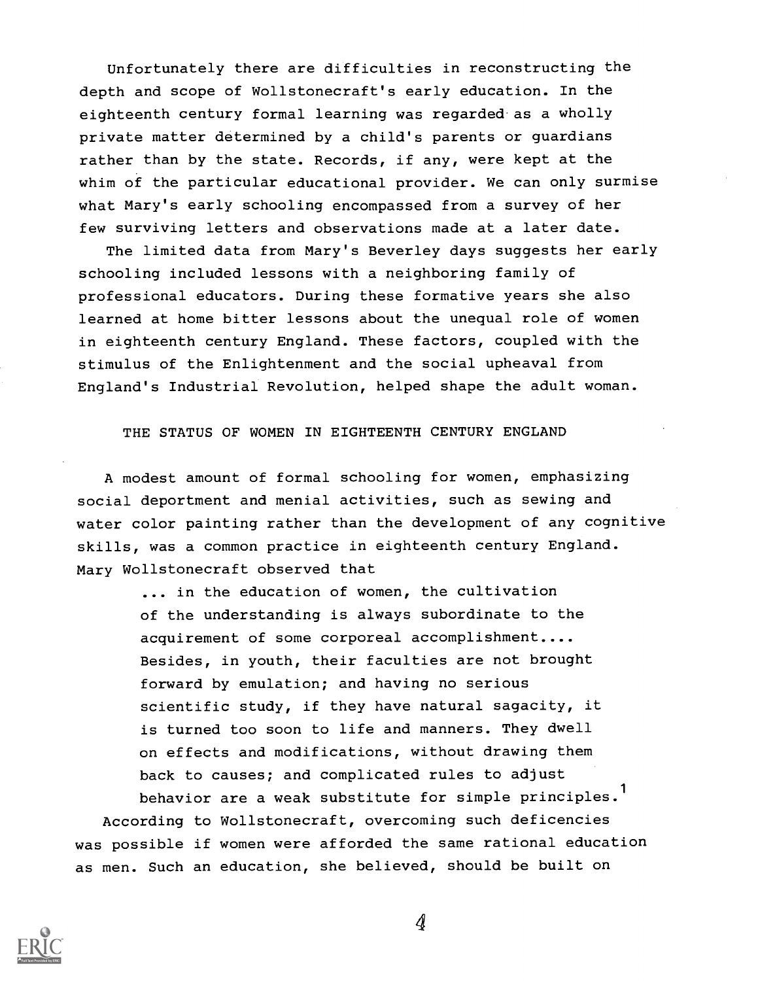Unfortunately there are difficulties in reconstructing the depth and scope of Wollstonecraft's early education. In the eighteenth century formal learning was regarded as a wholly private matter determined by a child's parents or guardians rather than by the state. Records, if any, were kept at the whim of the particular educational provider. We can only surmise what Mary's early schooling encompassed from a survey of her few surviving letters and observations made at a later date.

The limited data from Mary's Beverley days suggests her early schooling included lessons with a neighboring family of professional educators. During these formative years she also learned at home bitter lessons about the unequal role of women in eighteenth century England. These factors, coupled with the stimulus of the Enlightenment and the social upheaval from England's Industrial Revolution, helped shape the adult woman.

THE STATUS OF WOMEN IN EIGHTEENTH CENTURY ENGLAND

A modest amount of formal schooling for women, emphasizing social deportment and menial activities, such as sewing and water color painting rather than the development of any cognitive skills, was a common practice in eighteenth century England. Mary Wollstonecraft observed that

... in the education of women, the cultivation of the understanding is always subordinate to the acquirement of some corporeal accomplishment.... Besides, in youth, their faculties are not brought forward by emulation; and having no serious scientific study, if they have natural sagacity, it is turned too soon to life and manners. They dwell on effects and modifications, without drawing them back to causes; and complicated rules to adjust behavior are a weak substitute for simple principles.<sup>1</sup> According to Wollstonecraft, overcoming such deficencies was possible if women were afforded the same rational education as men. Such an education, she believed, should be built on

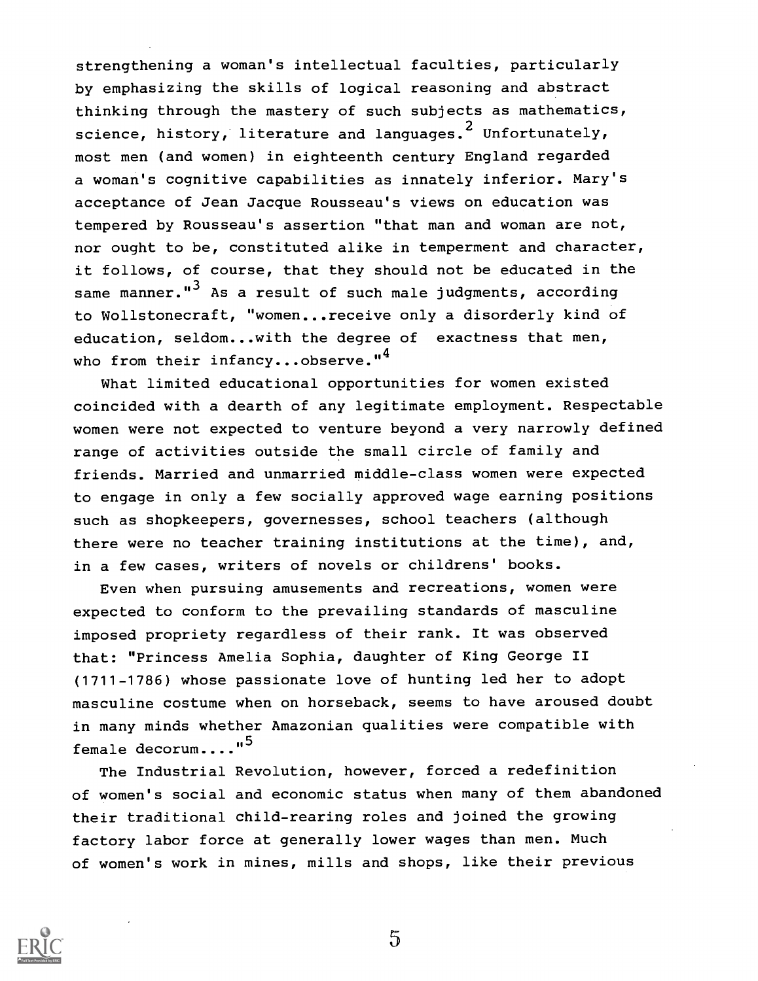strengthening a woman's intellectual faculties, particularly by emphasizing the skills of logical reasoning and abstract thinking through the mastery of such subjects as mathematics, science, history, literature and languages.<sup>2</sup> Unfortunately, most men (and women) in eighteenth century England regarded a woman's cognitive capabilities as innately inferior. Mary's acceptance of Jean Jacque Rousseau's views on education was tempered by Rousseau's assertion "that man and woman are not, nor ought to be, constituted alike in temperment and character, it follows, of course, that they should not be educated in the same manner."<sup>3</sup> As a result of such male judgments, according to Wollstonecraft, "women...receive only a disorderly kind of education, seldom...with the degree of exactness that men, who from their infancy...observe."<sup>4</sup>

What limited educational opportunities for women existed coincided with a dearth of any legitimate employment. Respectable women were not expected to venture beyond a very narrowly defined range of activities outside the small circle of family and friends. Married and unmarried middle-class women were expected to engage in only a few socially approved wage earning positions such as shopkeepers, governesses, school teachers (although there were no teacher training institutions at the time), and, in a few cases, writers of novels or childrens' books.

Even when pursuing amusements and recreations, women were expected to conform to the prevailing standards of masculine imposed propriety regardless of their rank. It was observed that: "Princess Amelia Sophia, daughter of King George II (1711-1786) whose passionate love of hunting led her to adopt masculine costume when on horseback, seems to have aroused doubt in many minds whether Amazonian qualities were compatible with female decorum...."<sup>5</sup>

The Industrial Revolution, however, forced a redefinition of women's social and economic status when many of them abandoned their traditional child-rearing roles and joined the growing factory labor force at generally lower wages than men. Much of women's work in mines, mills and shops, like their previous

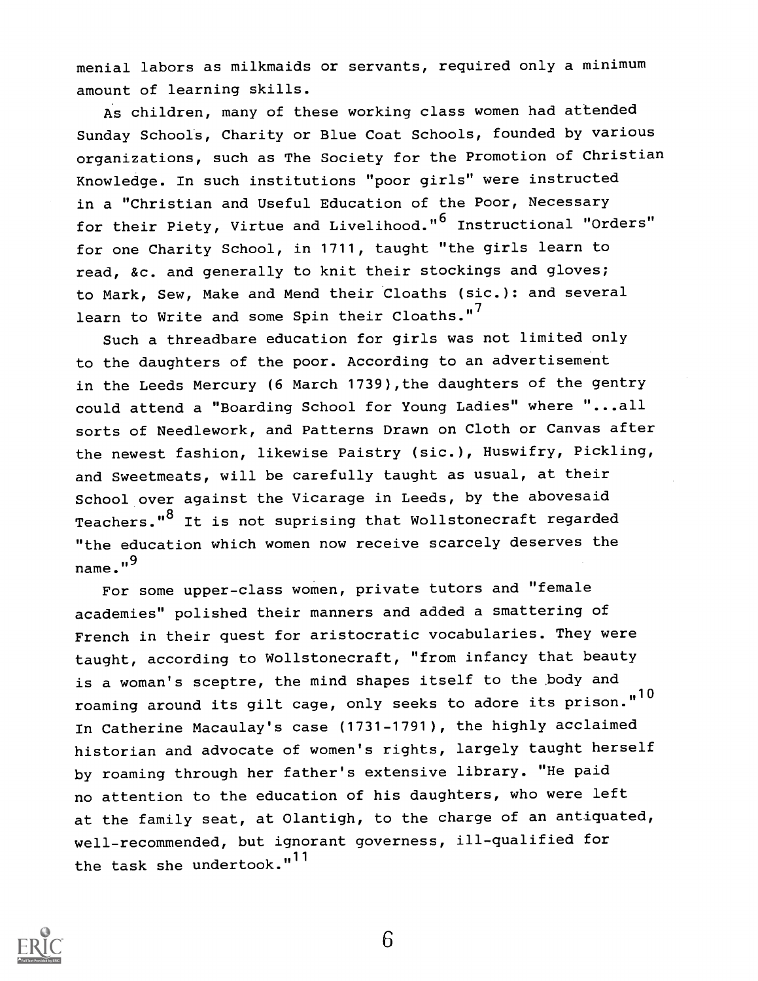menial labors as milkmaids or servants, required only a minimum amount of learning skills.

As children, many of these working class women had attended Sunday Schools, Charity or Blue Coat Schools, founded by various organizations, such as The Society for the Promotion of Christian Knowledge. In such institutions "poor girls" were instructed in a "Christian and Useful Education of the Poor, Necessary for their Piety, Virtue and Livelihood."<sup>6</sup> Instructional "Orders" for one Charity School, in 1711, taught "the girls learn to read, &c. and generally to knit their stockings and gloves; to Mark, Sew, Make and Mend their Cloaths (sic.): and several learn to Write and some Spin their Cloaths."<sup>7</sup>

Such a threadbare education for girls was not limited only to the daughters of the poor. According to an advertisement in the Leeds Mercury (6 March 1739), the daughters of the gentry could attend a "Boarding School for Young Ladies" where "...all sorts of Needlework, and Patterns Drawn on Cloth or Canvas after the newest fashion, likewise Paistry (sic.), Huswifry, Pickling, and Sweetmeats, will be carefully taught as usual, at their School over against the Vicarage in Leeds, by the abovesaid Teachers."<sup>8</sup> It is not suprising that Wollstonecraft regarded "the education which women now receive scarcely deserves the  $name.^{\prime\prime}9$ 

For some upper-class women, private tutors and "female academies" polished their manners and added a smattering of French in their quest for aristocratic vocabularies. They were taught, according to Wollstonecraft, "from infancy that beauty is a woman's sceptre, the mind shapes itself to the body and roaming around its gilt cage, only seeks to adore its prison."<sup>10</sup> In Catherine Macaulay's case (1731-1791), the highly acclaimed historian and advocate of women's rights, largely taught herself by roaming through her father's extensive library. "He paid no attention to the education of his daughters, who were left at the family seat, at Olantigh, to the charge of an antiquated, well-recommended, but ignorant governess, ill-qualified for the task she undertook."<sup>11</sup>

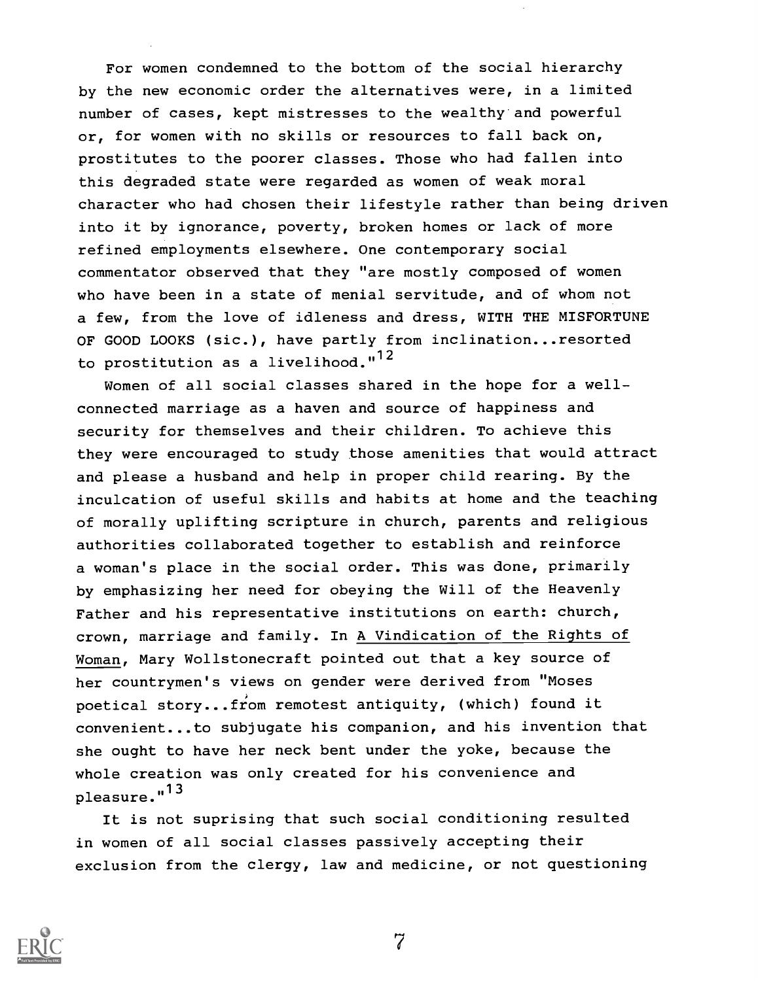For women condemned to the bottom of the social hierarchy by the new economic order the alternatives were, in a limited number of cases, kept mistresses to the wealthy and powerful or, for women with no skills or resources to fall back on, prostitutes to the poorer classes. Those who had fallen into this degraded state were regarded as women of weak moral character who had chosen their lifestyle rather than being driven into it by ignorance, poverty, broken homes or lack of more refined employments elsewhere. One contemporary social commentator observed that they "are mostly composed of women who have been in a state of menial servitude, and of whom not a few, from the love of idleness and dress, WITH THE MISFORTUNE OF GOOD LOOKS (sic.), have partly from inclination...resorted to prostitution as a livelihood." $12$ 

Women of all social classes shared in the hope for a wellconnected marriage as a haven and source of happiness and security for themselves and their children. To achieve this they were encouraged to study those amenities that would attract and please a husband and help in proper child rearing. By the inculcation of useful skills and habits at home and the teaching of morally uplifting scripture in church, parents and religious authorities collaborated together to establish and reinforce a woman's place in the social order. This was done, primarily by emphasizing her need for obeying the Will of the Heavenly Father and his representative institutions on earth: church, crown, marriage and family. In A Vindication of the Rights of Woman, Mary Wollstonecraft pointed out that a key source of her countrymen's views on gender were derived from "Moses poetical story...from remotest antiquity, (which) found it convenient...to subjugate his companion, and his invention that she ought to have her neck bent under the yoke, because the whole creation was only created for his convenience and pleasure."<sup>13</sup>

It is not suprising that such social conditioning resulted in women of all social classes passively accepting their exclusion from the clergy, law and medicine, or not questioning

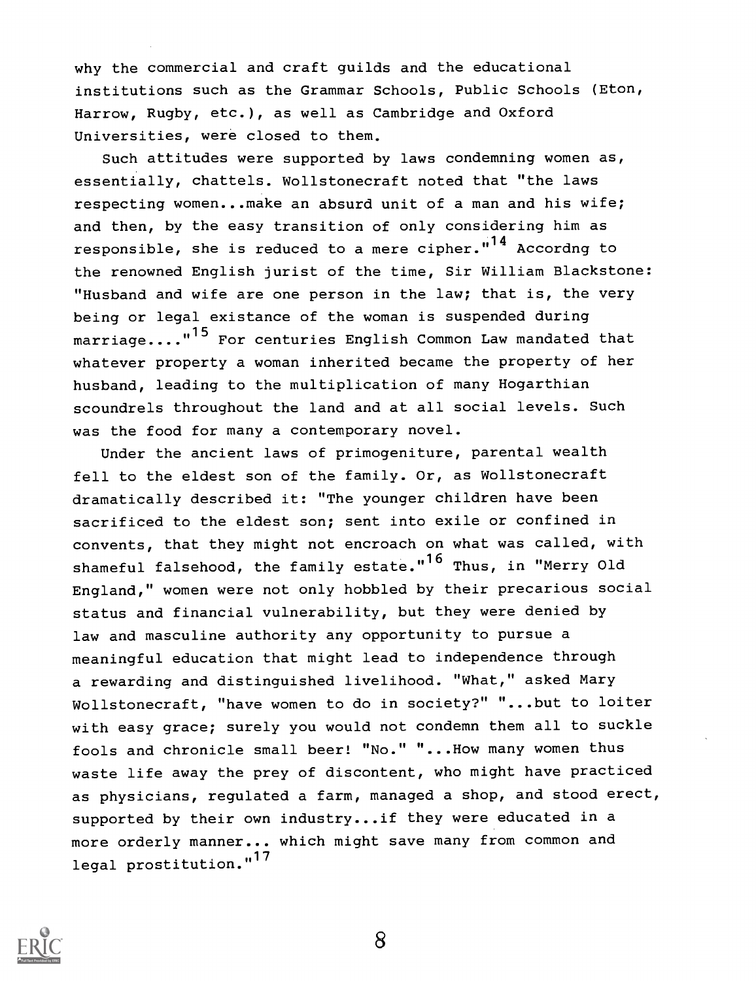why the commercial and craft guilds and the educational institutions such as the Grammar Schools, Public Schools (Eton, Harrow, Rugby, etc.), as well as Cambridge and Oxford Universities, were closed to them.

Such attitudes were supported by laws condemning women as, essentially, chattels. Wollstonecraft noted that "the laws respecting women...make an absurd unit of a man and his wife; and then, by the easy transition of only considering him as responsible, she is reduced to a mere cipher."<sup>14</sup> Accordng to the renowned English jurist of the time, Sir William Blackstone: "Husband and wife are one person in the law; that is, the very being or legal existance of the woman is suspended during marriage...."<sup>15</sup> For centuries English Common Law mandated that whatever property a woman inherited became the property of her husband, leading to the multiplication of many Hogarthian scoundrels throughout the land and at all social levels. Such was the food for many a contemporary novel.

Under the ancient laws of primogeniture, parental wealth fell to the eldest son of the family. Or, as Wollstonecraft dramatically described it: "The younger children have been sacrificed to the eldest son; sent into exile or confined in convents, that they might not encroach on what was called, with shameful falsehood, the family estate."<sup>16</sup> Thus, in "Merry Old England," women were not only hobbled by their precarious social status and financial vulnerability, but they were denied by law and masculine authority any opportunity to pursue a meaningful education that might lead to independence through a rewarding and distinguished livelihood. "What," asked Mary Wollstonecraft, "have women to do in society?" "...but to loiter with easy grace; surely you would not condemn them all to suckle fools and chronicle small beer! "No." "...How many women thus waste life away the prey of discontent, who might have practiced as physicians, regulated a farm, managed a shop, and stood erect, supported by their own industry...if they were educated in a more orderly manner.., which might save many from common and legal prostitution."<sup>17</sup>

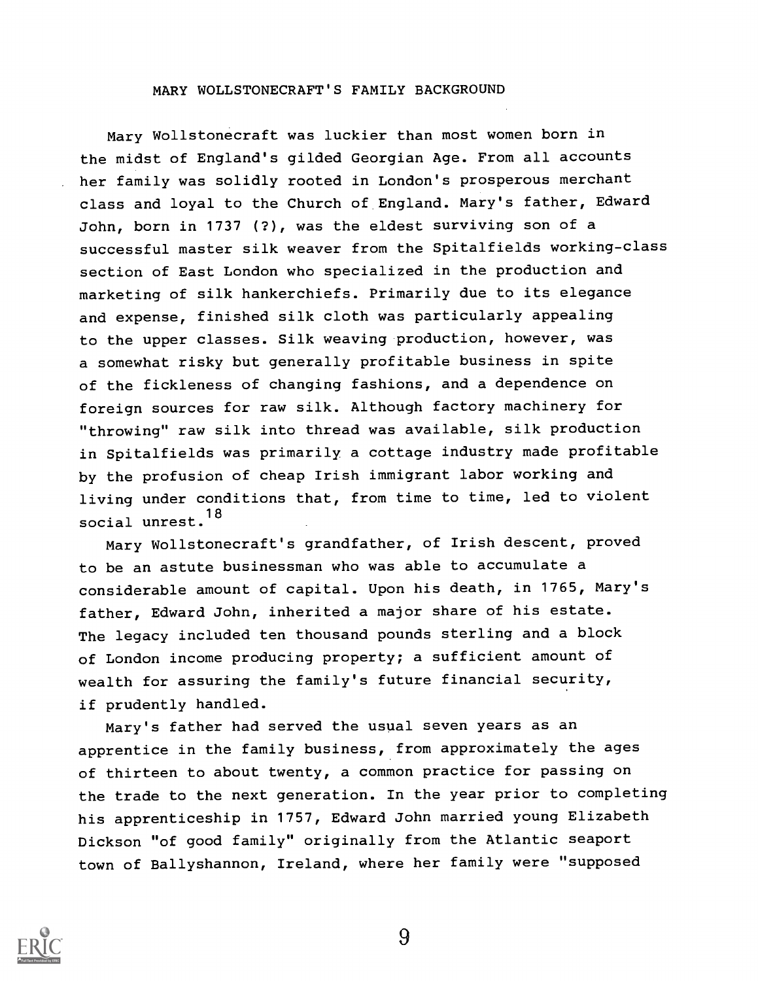### MARY WOLLSTONECRAFT'S FAMILY BACKGROUND

Mary Wollstonecraft was luckier than most women born in the midst of England's gilded Georgian Age. From all accounts her family was solidly rooted in London's prosperous merchant class and loyal to the Church of England. Mary's father, Edward John, born in 1737 (?), was the eldest surviving son of a successful master silk weaver from the Spitalfields working-class section of East London who specialized in the production and marketing of silk hankerchiefs. Primarily due to its elegance and expense, finished silk cloth was particularly appealing to the upper classes. Silk weaving production, however, was a somewhat risky but generally profitable business in spite of the fickleness of changing fashions, and a dependence on foreign sources for raw silk. Although factory machinery for "throwing" raw silk into thread was available, silk production in Spitalfields was primarily a cottage industry made profitable by the profusion of cheap Irish immigrant labor working and living under conditions that, from time to time, led to violent social unrest. <sup>18</sup>

Mary Wollstonecraft's grandfather, of Irish descent, proved to be an astute businessman who was able to accumulate a considerable amount of capital. Upon his death, in 1765, Mary's father, Edward John, inherited a major share of his estate. The legacy included ten thousand pounds sterling and a block of London income producing property; a sufficient amount of wealth for assuring the family's future financial security, if prudently handled.

Mary's father had served the usual seven years as an apprentice in the family business, from approximately the ages of thirteen to about twenty, a common practice for passing on the trade to the next generation. In the year prior to completing his apprenticeship in 1757, Edward John married young Elizabeth Dickson "of good family" originally from the Atlantic seaport town of Ballyshannon, Ireland, where her family were "supposed

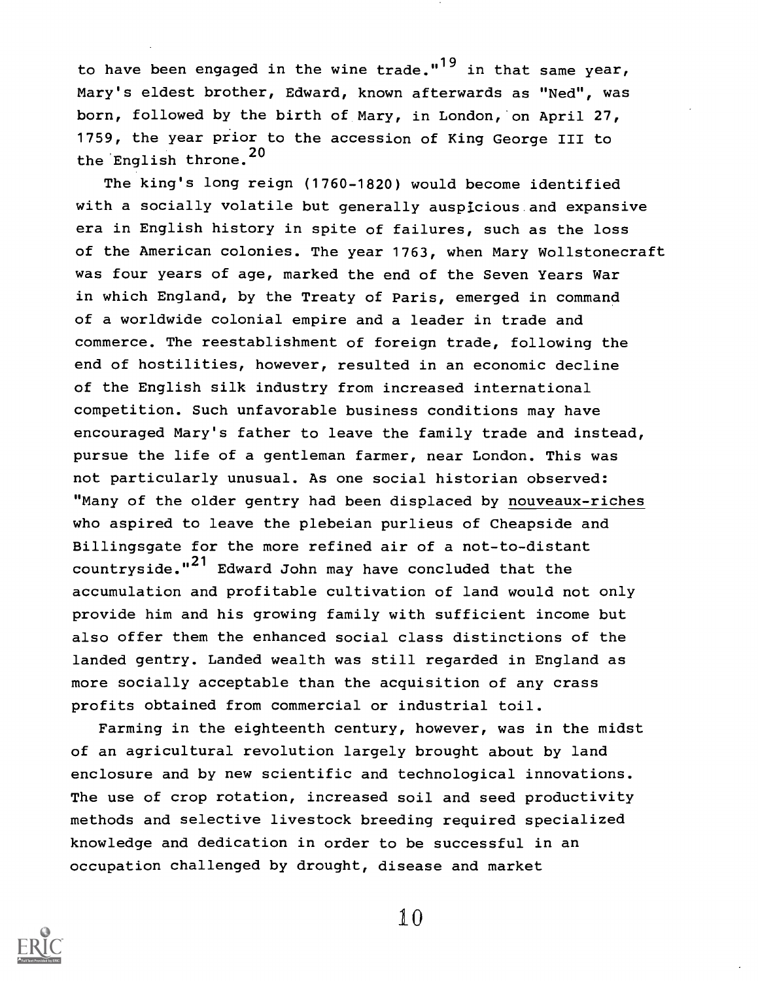to have been engaged in the wine trade."<sup>19</sup> in that same year, Mary's eldest brother, Edward, known afterwards as "Ned", was born, followed by the birth of Mary, in London, on April 27, 1759, the year prior to the accession of King George III to the English throne. <sup>20</sup>

The king's long reign (1760-1820) would become identified with a socially volatile but generally auspicious and expansive era in English history in spite of failures, such as the loss of the American colonies. The year 1763, when Mary Wollstonecraft was four years of age, marked the end of the Seven Years War in which England, by the Treaty of Paris, emerged in command of a worldwide colonial empire and a leader in trade and commerce. The reestablishment of foreign trade, following the end of hostilities, however, resulted in an economic decline of the English silk industry from increased international competition. Such unfavorable business conditions may have encouraged Mary's father to leave the family trade and instead, pursue the life of a gentleman farmer, near London. This was not particularly unusual. As one social historian observed: "Many of the older gentry had been displaced by nouveaux-riches who aspired to leave the plebeian purlieus of Cheapside and Billingsgate for the more refined air of a not-to-distant countryside. "21 Edward John may have concluded that the accumulation and profitable cultivation of land would not only provide him and his growing family with sufficient income but also offer them the enhanced social class distinctions of the landed gentry. Landed wealth was still regarded in England as more socially acceptable than the acquisition of any crass profits obtained from commercial or industrial toil.

Farming in the eighteenth century, however, was in the midst of an agricultural revolution largely brought about by land enclosure and by new scientific and technological innovations. The use of crop rotation, increased soil and seed productivity methods and selective livestock breeding required specialized knowledge and dedication in order to be successful in an occupation challenged by drought, disease and market

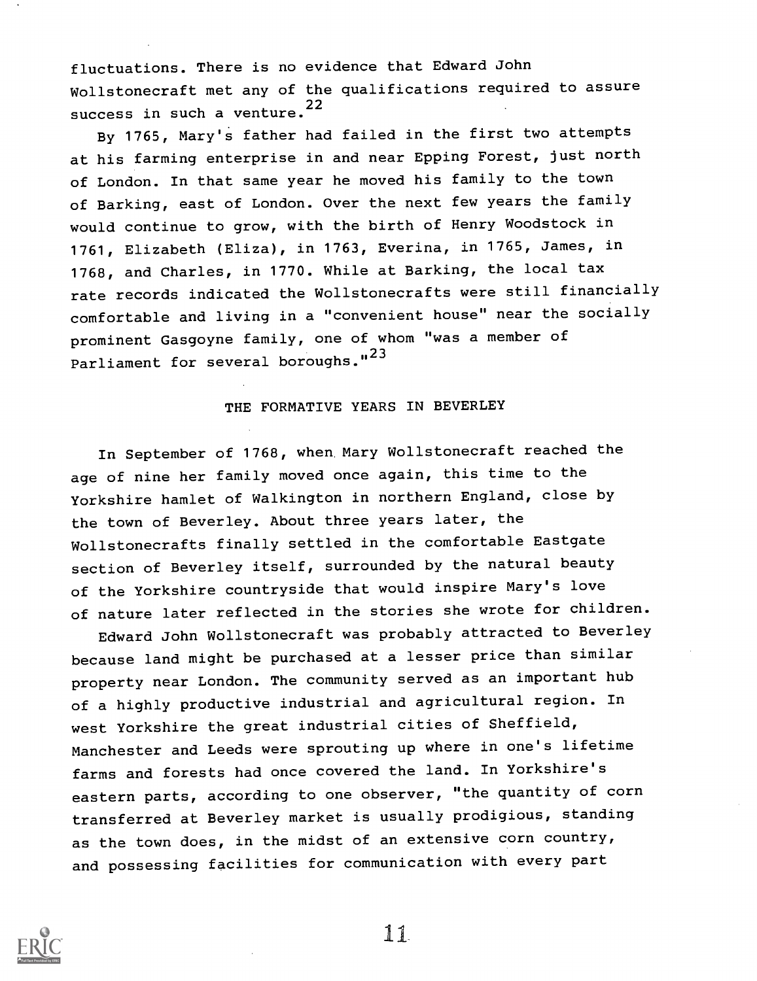fluctuations. There is no evidence that Edward John Wollstonecraft met any of the qualifications required to assure success in such a venture. <sup>22</sup>

By 1765, Mary's father had failed in the first two attempts at his farming enterprise in and near Epping Forest, just north of London. In that same year he moved his family to the town of Barking, east of London. Over the next few years the family would continue to grow, with the birth of Henry Woodstock in 1761, Elizabeth (Eliza), in 1763, Everina, in 1765, James, in 1768, and Charles, in 1770. While at Barking, the local tax rate records indicated the Wollstonecrafts were still financially comfortable and living in a "convenient house" near the socially prominent Gasgoyne family, one of whom "was a member of Parliament for several boroughs."<sup>23</sup>

### THE FORMATIVE YEARS IN BEVERLEY

In September of 1768, when Mary Wollstonecraft reached the age of nine her family moved once again, this time to the Yorkshire hamlet of Walkington in northern England, close by the town of Beverley. About three years later, the Wollstonecrafts finally settled in the comfortable Eastgate section of Beverley itself, surrounded by the natural beauty of the Yorkshire countryside that would inspire Mary's love of nature later reflected in the stories she wrote for children.

Edward John Wollstonecraft was probably attracted to Beverley because land might be purchased at a lesser price than similar property near London. The community served as an important hub of a highly productive industrial and agricultural region. In west Yorkshire the great industrial cities of Sheffield, Manchester and Leeds were sprouting up where in one's lifetime farms and forests had once covered the land. In Yorkshire's eastern parts, according to one observer, "the quantity of corn transferred at Beverley market is usually prodigious, standing as the town does, in the midst of an extensive corn country, and possessing facilities for communication with every part

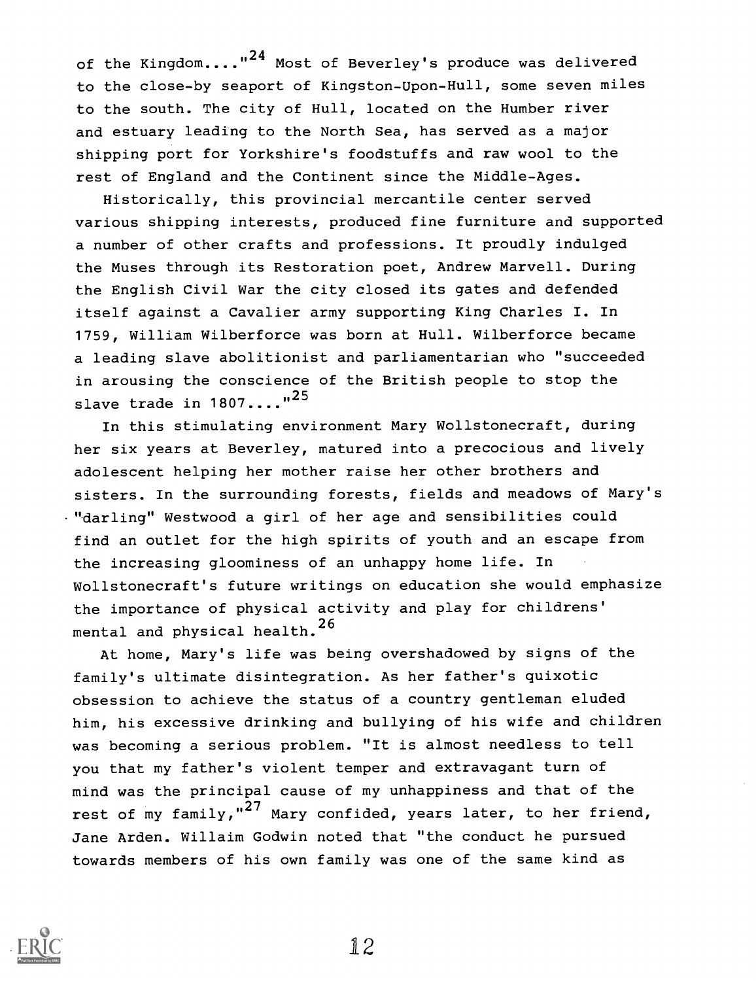of the Kingdom...."<sup>24</sup> Most of Beverley's produce was delivered to the close-by seaport of Kingston-Upon-Hull, some seven miles to the south. The city of Hull, located on the Humber river and estuary leading to the North Sea, has served as a major shipping port for Yorkshire's foodstuffs and raw wool to the rest of England and the Continent since the Middle-Ages.

Historically, this provincial mercantile center served various shipping interests, produced fine furniture and supported a number of other crafts and professions. It proudly indulged the Muses through its Restoration poet, Andrew Marvell. During the English Civil War the city closed its gates and defended itself against a Cavalier army supporting King Charles I. In 1759, William Wilberforce was born at Hull. Wilberforce became a leading slave abolitionist and parliamentarian who "succeeded in arousing the conscience of the British people to stop the slave trade in  $1807...$ ...<sup>125</sup>

In this stimulating environment Mary Wollstonecraft, during her six years at Beverley, matured into a precocious and lively adolescent helping her mother raise her other brothers and sisters. In the surrounding forests, fields and meadows of Mary's -"darling" Westwood a girl of her age and sensibilities could find an outlet for the high spirits of youth and an escape from the increasing gloominess of an unhappy home life. In Wollstonecraft's future writings on education she would emphasize the importance of physical activity and play for childrens' mental and physical health.<sup>26</sup>

At home, Mary's life was being overshadowed by signs of the family's ultimate disintegration. As her father's quixotic obsession to achieve the status of a country gentleman eluded him, his excessive drinking and bullying of his wife and children was becoming a serious problem. "It is almost needless to tell you that my father's violent temper and extravagant turn of mind was the principal cause of my unhappiness and that of the rest of my family," $^{27}$  Mary confided, years later, to her friend, Jane Arden. Willaim Godwin noted that "the conduct he pursued towards members of his own family was one of the same kind as

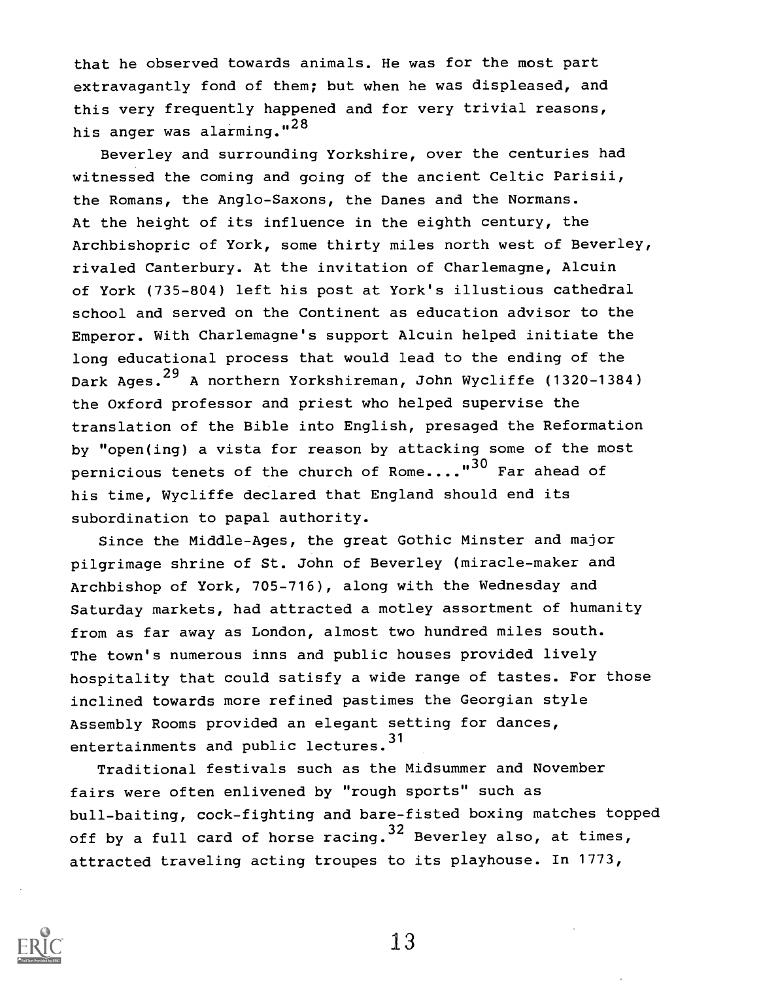that he observed towards animals. He was for the most part extravagantly fond of them; but when he was displeased, and this very frequently happened and for very trivial reasons, his anger was alarming."<sup>28</sup>

Beverley and surrounding Yorkshire, over the centuries had witnessed the coming and going of the ancient Celtic Parisii, the Romans, the Anglo-Saxons, the Danes and the Normans. At the height of its influence in the eighth century, the Archbishopric of York, some thirty miles north west of Beverley, rivaled Canterbury. At the invitation of Charlemagne, Alcuin of York (735-804) left his post at York's illustious cathedral school and served on the Continent as education advisor to the Emperor. With Charlemagne's support Alcuin helped initiate the long educational process that would lead to the ending of the Dark Ages.<sup>29</sup> A northern Yorkshireman, John Wycliffe (1320-1384) the Oxford professor and priest who helped supervise the translation of the Bible into English, presaged the Reformation by "open(ing) a vista for reason by attacking some of the most pernicious tenets of the church of Rome...."<sup>30</sup> Far ahead of his time, Wycliffe declared that England should end its subordination to papal authority.

Since the Middle-Ages, the great Gothic Minster and major pilgrimage shrine of St. John of Beverley (miracle-maker and Archbishop of York, 705-716), along with the Wednesday and Saturday markets, had attracted a motley assortment of humanity from as far away as London, almost two hundred miles south. The town's numerous inns and public houses provided lively hospitality that could satisfy a wide range of tastes. For those inclined towards more refined pastimes the Georgian style Assembly Rooms provided an elegant setting for dances, entertainments and public lectures. <sup>31</sup>

Traditional festivals such as the Midsummer and November fairs were often enlivened by "rough sports" such as bull-baiting, cock-fighting and bare-fisted boxing matches topped off by a full card of horse racing.  $32$  Beverley also, at times, attracted traveling acting troupes to its playhouse. In 1773,

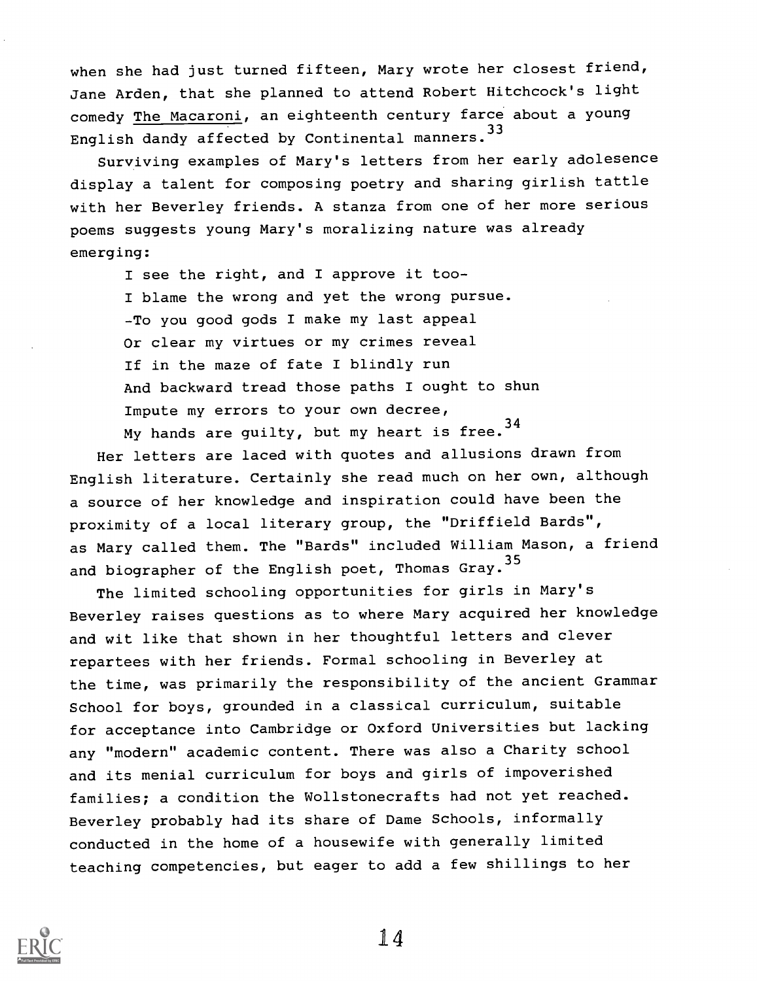when she had just turned fifteen, Mary wrote her closest friend, Jane Arden, that she planned to attend Robert Hitchcock's light comedy The Macaroni, an eighteenth century farce about a young English dandy affected by Continental manners. <sup>33</sup>

Surviving examples of Mary's letters from her early adolesence display a talent for composing poetry and sharing girlish tattle with her Beverley friends. A stanza from one of her more serious poems suggests young Mary's moralizing nature was already emerging:

I see the right, and I approve it too-1 blame the wrong and yet the wrong pursue. -To you good gods I make my last appeal Or clear my virtues or my crimes reveal If in the maze of fate I blindly run And backward tread those paths I ought to shun Impute my errors to your own decree, My hands are guilty, but my heart is free.  $34$ 

Her letters are laced with quotes and allusions drawn from English literature. Certainly she read much on her own, although a source of her knowledge and inspiration could have been the proximity of a local literary group, the "Driffield Bards", as Mary called them. The "Bards" included William Mason, a friend and biographer of the English poet, Thomas Gray.<sup>35</sup>

The limited schooling opportunities for girls in Mary's Beverley raises questions as to where Mary acquired her knowledge and wit like that shown in her thoughtful letters and clever repartees with her friends. Formal schooling in Beverley at the time, was primarily the responsibility of the ancient Grammar School for boys, grounded in a classical curriculum, suitable for acceptance into Cambridge or Oxford Universities but lacking any "modern" academic content. There was also a Charity school and its menial curriculum for boys and girls of impoverished families; a condition the Wollstonecrafts had not yet reached. Beverley probably had its share of Dame Schools, informally conducted in the home of a housewife with generally limited teaching competencies, but eager to add a few shillings to her

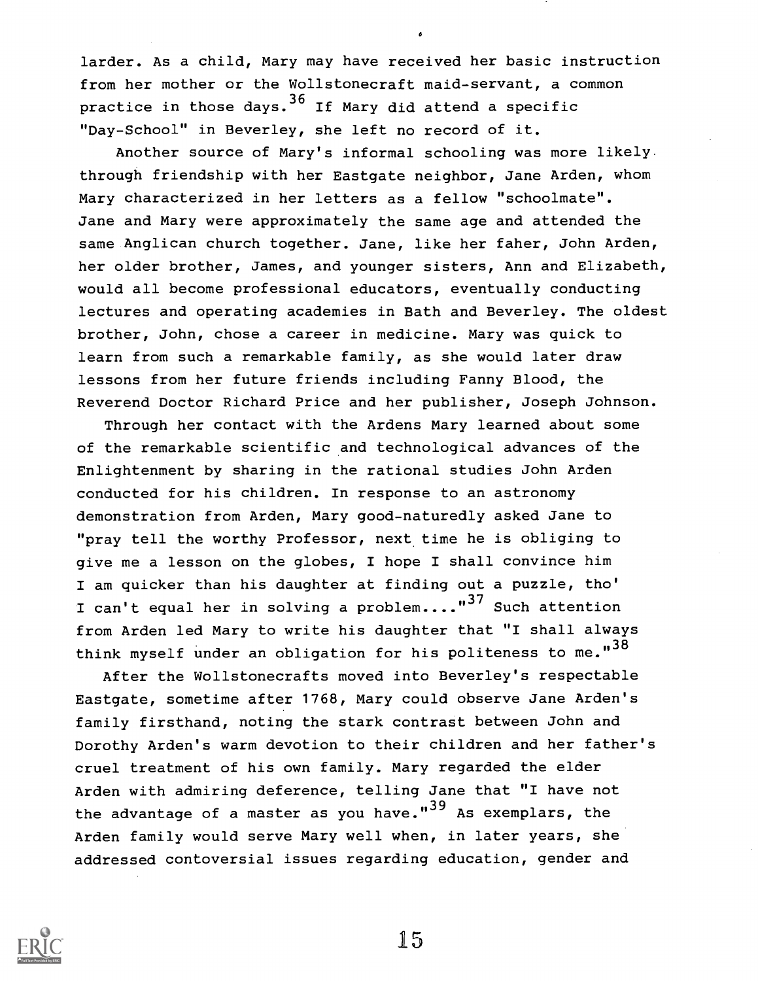larder. As a child, Mary may have received her basic instruction from her mother or the Wollstonecraft maid-servant, a common practice in those days.  $36$  If Mary did attend a specific "Day-School" in Beverley, she left no record of it.

Another source of Mary's informal schooling was more likely. through friendship with her Eastgate neighbor, Jane Arden, whom Mary characterized in her letters as a fellow "schoolmate". Jane and Mary were approximately the same age and attended the same Anglican church together. Jane, like her faher, John Arden, her older brother, James, and younger sisters, Ann and Elizabeth, would all become professional educators, eventually conducting lectures and operating academies in Bath and Beverley. The oldest brother, John, chose a career in medicine. Mary was quick to learn from such a remarkable family, as she would later draw lessons from her future friends including Fanny Blood, the Reverend Doctor Richard Price and her publisher, Joseph Johnson.

Through her contact with the Ardens Mary learned about some of the remarkable scientific and technological advances of the Enlightenment by sharing in the rational studies John Arden conducted for his children. In response to an astronomy demonstration from Arden, Mary good-naturedly asked Jane to "pray tell the worthy Professor, next time he is obliging to give me a lesson on the globes, I hope I shall convince him I am quicker than his daughter at finding out a puzzle, tho' I can't equal her in solving a problem...."<sup>37</sup> Such attention from Arden led Mary to write his daughter that "I shall always think myself under an obligation for his politeness to me."<sup>38</sup>

After the Wollstonecrafts moved into Beverley's respectable Eastgate, sometime after 1768, Mary could observe Jane Arden's family firsthand, noting the stark contrast between John and Dorothy Arden's warm devotion to their children and her father's cruel treatment of his own family. Mary regarded the elder Arden with admiring deference, telling Jane that "I have not the advantage of a master as you have." $39$  As exemplars, the Arden family would serve Mary well when, in later years, she addressed contoversial issues regarding education, gender and

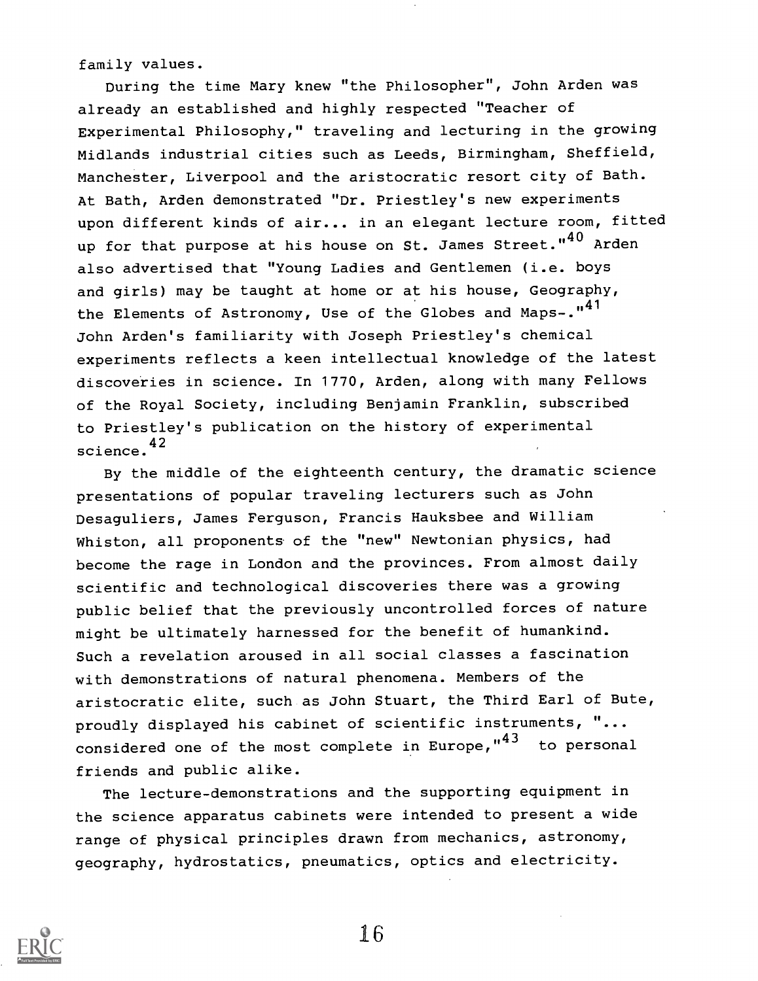family values.

During the time Mary knew "the Philosopher", John Arden was already an established and highly respected "Teacher of Experimental Philosophy," traveling and lecturing in the growing Midlands industrial cities such as Leeds, Birmingham, Sheffield, Manchester, Liverpool and the aristocratic resort city of Bath. At Bath, Arden demonstrated "Dr. Priestley's new experiments upon different kinds of air.., in an elegant lecture room, fitted up for that purpose at his house on St. James Street."<sup>40</sup> Arden also advertised that "Young Ladies and Gentlemen (i.e. boys and girls) may be taught at home or at his house, Geography, the Elements of Astronomy, Use of the Globes and Maps-."<sup>41</sup> John Arden's familiarity with Joseph Priestley's chemical experiments reflects a keen intellectual knowledge of the latest discoveries in science. In 1770, Arden, along with many Fellows of the Royal Society, including Benjamin Franklin, subscribed to Priestley's publication on the history of experimental science. <sup>42</sup>

By the middle of the eighteenth century, the dramatic science presentations of popular traveling lecturers such as John Desaguliers, James Ferguson, Francis Hauksbee and William Whiston, all proponents of the "new" Newtonian physics, had become the rage in London and the provinces. From almost daily scientific and technological discoveries there was a growing public belief that the previously uncontrolled forces of nature might be ultimately harnessed for the benefit of humankind. Such a revelation aroused in all social classes a fascination with demonstrations of natural phenomena. Members of the aristocratic elite, such as John Stuart, the Third Earl of Bute, proudly displayed his cabinet of scientific instruments, "... considered one of the most complete in Europe,"<sup>43</sup> to personal friends and public alike.

The lecture-demonstrations and the supporting equipment in the science apparatus cabinets were intended to present a wide range of physical principles drawn from mechanics, astronomy, geography, hydrostatics, pneumatics, optics and electricity.

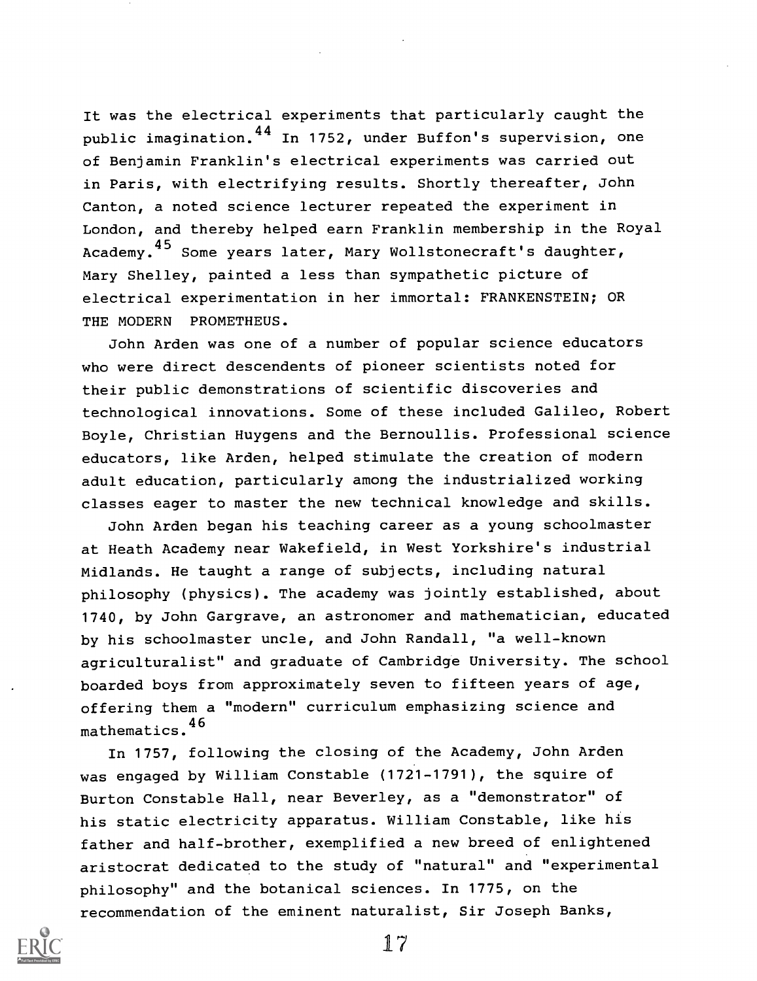It was the electrical experiments that particularly caught the public imagination.<sup>44</sup> In 1752, under Buffon's supervision, one of Benjamin Franklin's electrical experiments was carried out in Paris, with electrifying results. Shortly thereafter, John Canton, a noted science lecturer repeated the experiment in London, and thereby helped earn Franklin membership in the Royal Academy. <sup>45</sup> Some years later, Mary Wollstonecraft's daughter, Mary Shelley, painted a less than sympathetic picture of electrical experimentation in her immortal: FRANKENSTEIN; OR THE MODERN PROMETHEUS.

John Arden was one of a number of popular science educators who were direct descendents of pioneer scientists noted for their public demonstrations of scientific discoveries and technological innovations. Some of these included Galileo, Robert Boyle, Christian Huygens and the Bernoullis. Professional science educators, like Arden, helped stimulate the creation of modern adult education, particularly among the industrialized working classes eager to master the new technical knowledge and skills.

John Arden began his teaching career as a young schoolmaster at Heath Academy near Wakefield, in West Yorkshire's industrial Midlands. He taught a range of subjects, including natural philosophy (physics). The academy was jointly established, about 1740, by John Gargrave, an astronomer and mathematician, educated by his schoolmaster uncle, and John Randall, "a well-known agriculturalist" and graduate of Cambridge University. The school boarded boys from approximately seven to fifteen years of age, offering them a "modern" curriculum emphasizing science and mathematics. <sup>46</sup>

In 1757, following the closing of the Academy, John Arden was engaged by William Constable (1721-1791), the squire of Burton Constable Hall, near Beverley, as a "demonstrator" of his static electricity apparatus. William Constable, like his father and half-brother, exemplified a new breed of enlightened aristocrat dedicated to the study of "natural" and "experimental philosophy" and the botanical sciences. In 1775, on the recommendation of the eminent naturalist, Sir Joseph Banks,

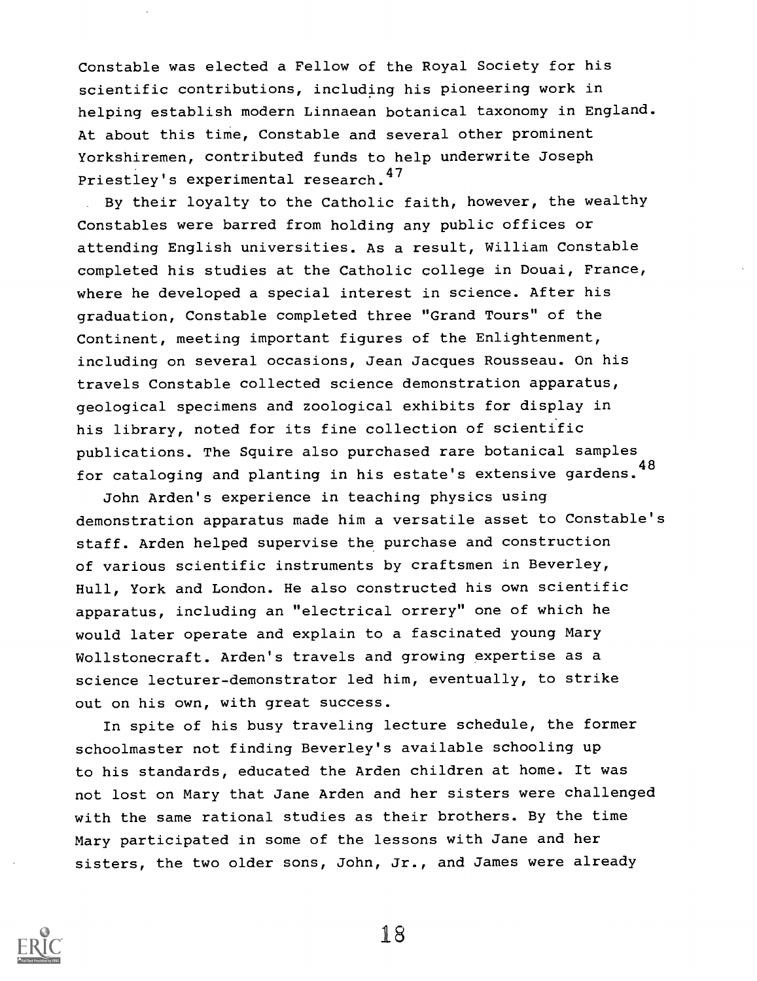Constable was elected a Fellow of the Royal Society for his scientific contributions, including his pioneering work in helping establish modern Linnaean botanical taxonomy in England. At about this time, Constable and several other prominent Yorkshiremen, contributed funds to help underwrite Joseph Priestley's experimental research. <sup>47</sup>

By their loyalty to the Catholic faith, however, the wealthy Constables were barred from holding any public offices or attending English universities. As a result, William Constable completed his studies at the Catholic college in Douai, France, where he developed a special interest in science. After his graduation, Constable completed three "Grand Tours" of the Continent, meeting important figures of the Enlightenment, including on several occasions, Jean Jacques Rousseau. On his travels Constable collected science demonstration apparatus, geological specimens and zoological exhibits for display in his library, noted for its fine collection of scientific publications. The Squire also purchased rare botanical samples for cataloging and planting in his estate's extensive gardens.<sup>48</sup>

John Arden's experience in teaching physics using demonstration apparatus made him a versatile asset to Constable's staff. Arden helped supervise the purchase and construction of various scientific instruments by craftsmen in Beverley, Hull, York and London. He also constructed his own scientific apparatus, including an "electrical orrery" one of which he would later operate and explain to a fascinated young Mary Wollstonecraft. Arden's travels and growing expertise as a science lecturer-demonstrator led him, eventually, to strike out on his own, with great success.

In spite of his busy traveling lecture schedule, the former schoolmaster not finding Beverley's available schooling up to his standards, educated the Arden children at home. It was not lost on Mary that Jane Arden and her sisters were challenged with the same rational studies as their brothers. By the time Mary participated in some of the lessons with Jane and her sisters, the two older sons, John, Jr., and James were already

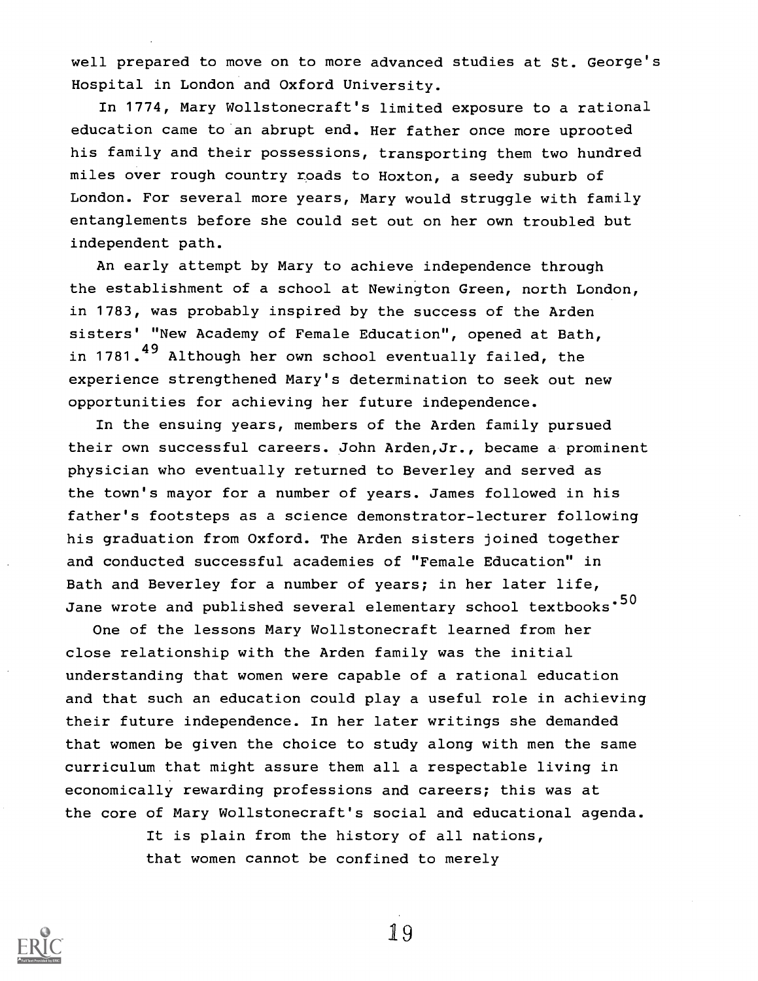well prepared to move on to more advanced studies at St. George's Hospital in London and Oxford University.

In 1774, Mary Wollstonecraft's limited exposure to a rational education came to an abrupt end. Her father once more uprooted his family and their possessions, transporting them two hundred miles over rough country roads to Hoxton, a seedy suburb of London. For several more years, Mary would struggle with family entanglements before she could set out on her own troubled but independent path.

An early attempt by Mary to achieve independence through the establishment of a school at Newington Green, north London, in 1783, was probably inspired by the success of the Arden sisters' "New Academy of Female Education", opened at Bath, in 1781.<sup>49</sup> Although her own school eventually failed, the experience strengthened Mary's determination to seek out new opportunities for achieving her future independence.

In the ensuing years, members of the Arden family pursued their own successful careers. John Arden,Jr., became a prominent physician who eventually returned to Beverley and served as the town's mayor for a number of years. James followed in his father's footsteps as a science demonstrator-lecturer following his graduation from Oxford. The Arden sisters joined together and conducted successful academies of "Female Education" in Bath and Beverley for a number of years; in her later life, Jane wrote and published several elementary school textbooks $\cdot^{50}$ 

One of the lessons Mary Wollstonecraft learned from her close relationship with the Arden family was the initial understanding that women were capable of a rational education and that such an education could play a useful role in achieving their future independence. In her later writings she demanded that women be given the choice to study along with men the same curriculum that might assure them all a respectable living in economically rewarding professions and careers; this was at the core of Mary Wollstonecraft's social and educational agenda.

> It is plain from the history of all nations, that women cannot be confined to merely

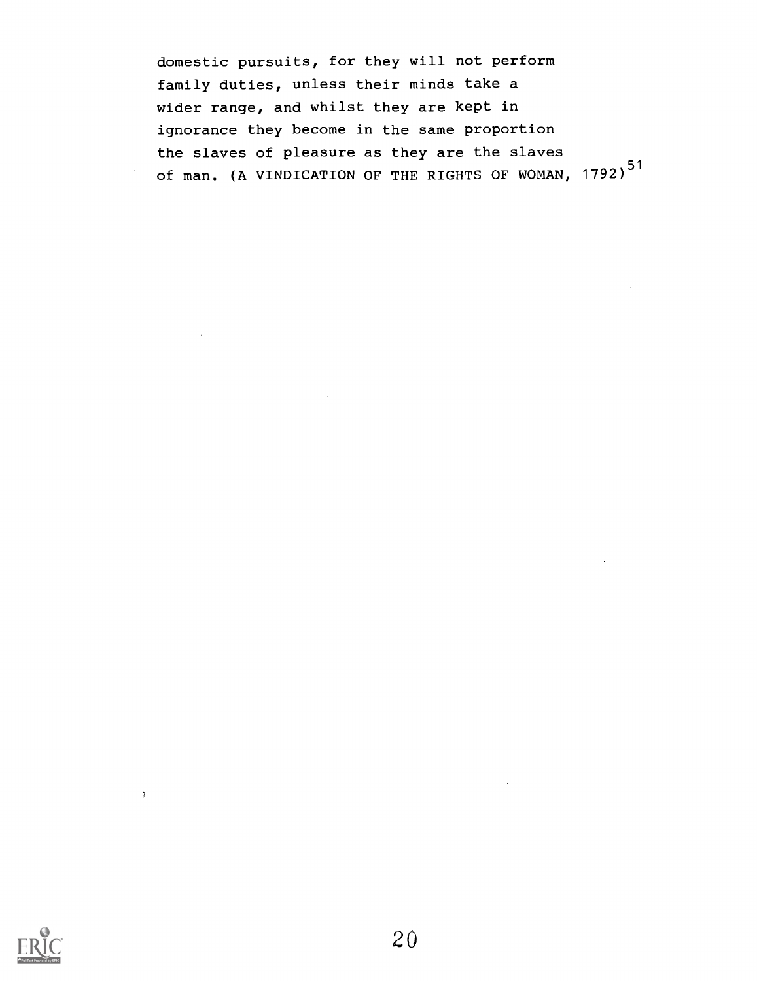domestic pursuits, for they will not perform family duties, unless their minds take a wider range, and whilst they are kept in ignorance they become in the same proportion the slaves of pleasure as they are the slaves of man. (A VINDICATION OF THE RIGHTS OF WOMAN, 1792)<sup>51</sup>



 $\bar{?}$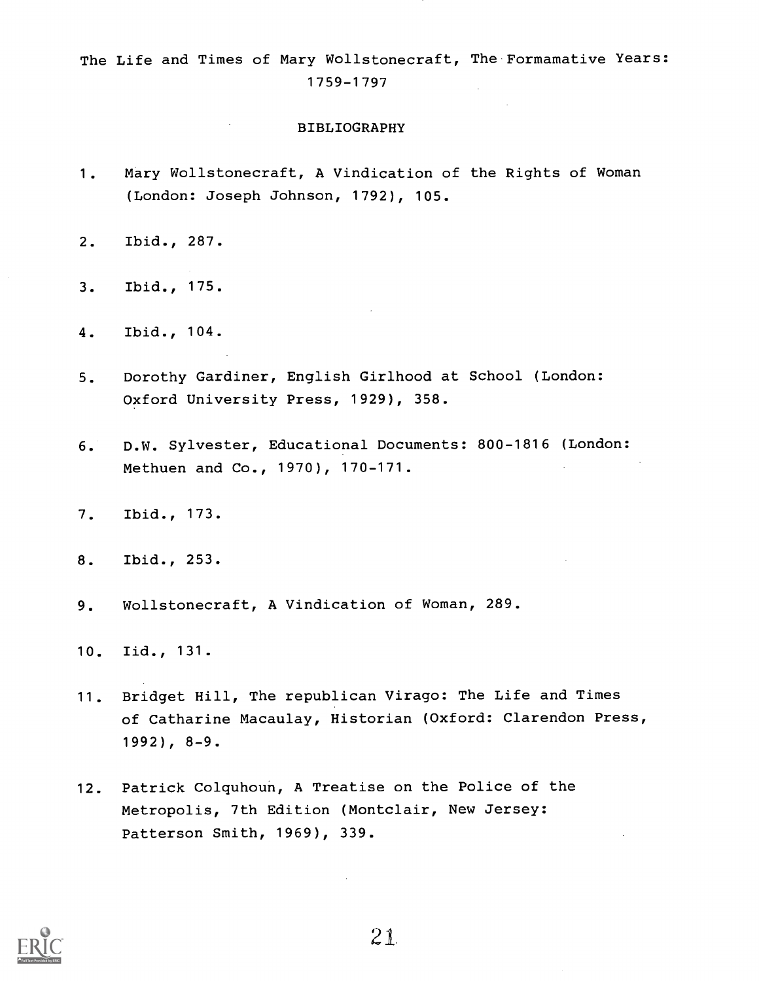The Life and Times of Mary Wollstonecraft, The Formamative Years: 1759-1797

#### BIBLIOGRAPHY

- 1. Mary Wollstonecraft, A Vindication of the Rights of Woman (London: Joseph Johnson, 1792), 105.
- 2. Ibid., 287.
- 3. Ibid., 175.
- 4. Ibid., 104.
- 5. Dorothy Gardiner, English Girlhood at School (London: Oxford University Press, 1929), 358.
- 6. D.W. Sylvester, Educational Documents: 800-1816 (London: Methuen and Co., 1970), 170-171.
- 7. Ibid., 173.
- 8. Ibid., 253.
- 9. Wollstonecraft, A Vindication of Woman, 289.
- 10. lid., 131.
- 11. Bridget Hill, The republican Virago: The Life and Times of Catharine Macaulay, Historian (Oxford: Clarendon Press, 1992), 8-9.
- 12. Patrick Colquhoun, A Treatise on the Police of the Metropolis, 7th Edition (Montclair, New Jersey: Patterson Smith, 1969), 339.

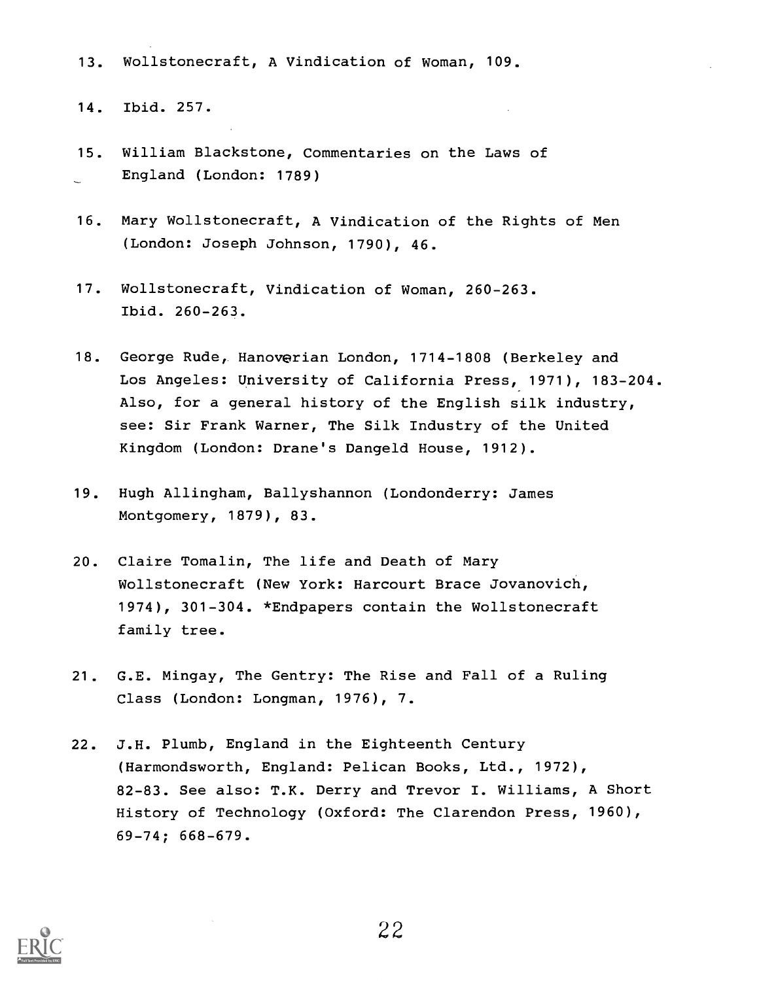13. Wollstonecraft, A Vindication of Woman, 109.

14. Ibid. 257.

- 15. William Blackstone, Commentaries on the Laws of England (London: 1789)
- 16. Mary Wollstonecraft, A Vindication of the Rights of Men (London: Joseph Johnson, 1790), 46.
- 17. Wollstonecraft, Vindication of Woman, 260-263. Ibid. 260-263.
- 18. George Rude, Hanoverian London, 1714-1808 (Berkeley and Los Angeles: University of California Press, 1971), 183-204. Also, for a general history of the English silk industry, see: Sir Frank Warner, The Silk Industry of the United Kingdom (London: Drane's Dangeld House, 1912).
- 19. Hugh Allingham, Ballyshannon (Londonderry: James Montgomery, 1879), 83.
- 20. Claire Tomalin, The life and Death of Mary Wollstonecraft (New York: Harcourt Brace Jovanovich, 1974), 301-304. \*Endpapers contain the Wollstonecraft family tree.
- 21. G.E. Mingay, The Gentry: The Rise and Fall of a Ruling Class (London: Longman, 1976), 7.
- 22. J.H. Plumb, England in the Eighteenth Century (Harmondsworth, England: Pelican Books, Ltd., 1972), 82-83. See also: T.K. Derry and Trevor I. Williams, A Short History of Technology (Oxford: The Clarendon Press, 1960), 69-74; 668-679.

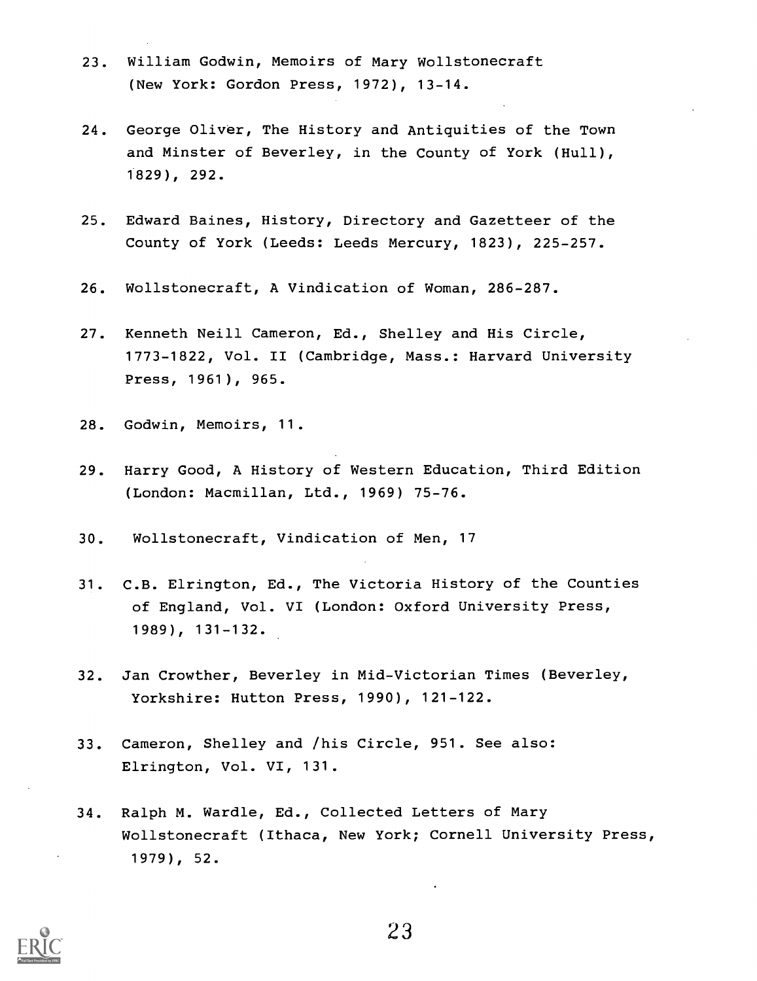- 23. William Godwin, Memoirs of Mary Wollstonecraft (New York: Gordon Press, 1972), 13-14.
- 24. George Oliver, The History and Antiquities of the Town and Minster of Beverley, in the County of York (Hull), 1829), 292.
- 25. Edward Baines, History, Directory and Gazetteer of the County of York (Leeds: Leeds Mercury, 1823), 225-257.
- 26. Wollstonecraft, A Vindication of Woman, 286-287.
- 27. Kenneth Neill Cameron, Ed., Shelley and His Circle, 1773-1822, Vol. II (Cambridge, Mass.: Harvard University Press, 1961), 965.
- 28. Godwin, Memoirs, 11.
- 29. Harry Good, A History of Western Education, Third Edition (London: Macmillan, Ltd., 1969) 75-76.
- 30. Wollstonecraft, Vindication of Men, 17
- 31. C.B. Elrington, Ed., The Victoria History of the Counties of England, Vol. VI (London: Oxford University Press, 1989), 131-132.
- 32. Jan Crowther, Beverley in Mid-Victorian Times (Beverley, Yorkshire: Hutton Press, 1990), 121-122.
- 33. Cameron, Shelley and /his Circle, 951. See also: Elrington, Vol. VI, 131.
- 34. Ralph M. Wardle, Ed., Collected Letters of Mary Wollstonecraft (Ithaca, New York; Cornell University Press, 1979), 52.

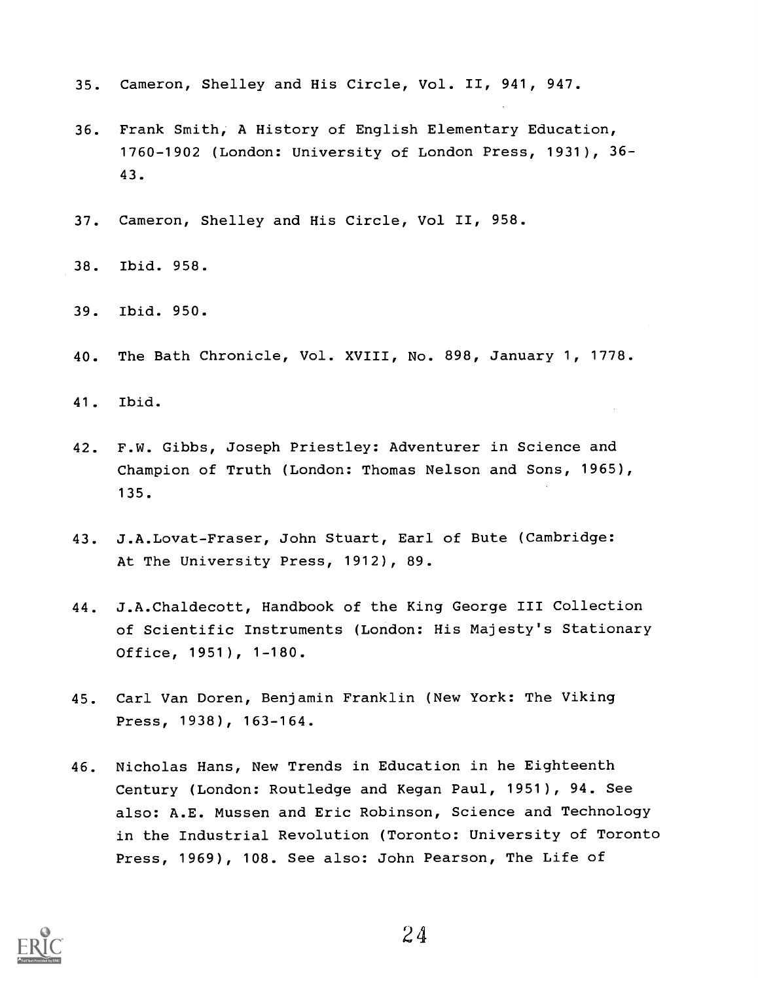- 35. Cameron, Shelley and His Circle, Vol. II, 941, 947.
- 36. Frank Smith, A History of English Elementary Education, 1760-1902 (London: University of London Press, 1931), 36- 43.
- 37. Cameron, Shelley and His Circle, Vol II, 958.

38. Ibid. 958.

39. Ibid. 950.

40. The Bath Chronicle, Vol. XVIII, No. 898, January 1, 1778.

41. Ibid.

- 42. F.W. Gibbs, Joseph Priestley: Adventurer in Science and Champion of Truth (London: Thomas Nelson and Sons, 1965), 135.
- 43. J.A.Lovat-Fraser, John Stuart, Earl of Bute (Cambridge: At The University Press, 1912), 89.
- 44. J.A.Chaldecott, Handbook of the King George III Collection of Scientific Instruments (London: His Majesty's Stationary Office, 1951), 1-180.
- 45. Carl Van Doren, Benjamin Franklin (New York: The Viking Press, 1938), 163-164.
- 46. Nicholas Hans, New Trends in Education in he Eighteenth Century (London: Routledge and Kegan Paul, 1951), 94. See also: A.E. Mussen and Eric Robinson, Science and Technology in the Industrial Revolution (Toronto: University of Toronto Press, 1969), 108. See also: John Pearson, The Life of

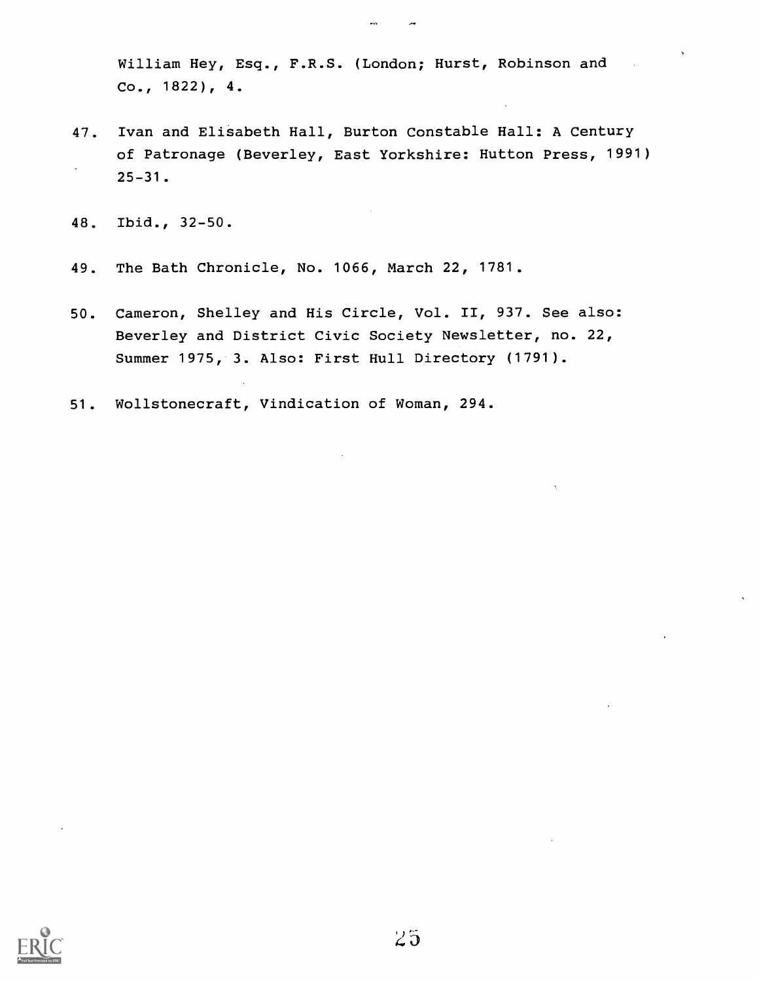William Hey, Esq., F.R.S. (London; Hurst, Robinson and Co., 1822), 4.

 $\sim$ 

- 47. Ivan and Elisabeth Hall, Burton Constable Hall: A Century of Patronage (Beverley, East Yorkshire: Hutton Press, 1991) 25-31.
- 48. Ibid., 32-50.
- 49. The Bath Chronicle, No. 1066, March 22, 1781.
- 50. Cameron, Shelley and His Circle, Vol. II, 937. See also: Beverley and District Civic Society Newsletter, no. 22, Summer 1975, 3. Also: First Hull Directory (1791).
- 51. Wollstonecraft, Vindication of Woman, 294.